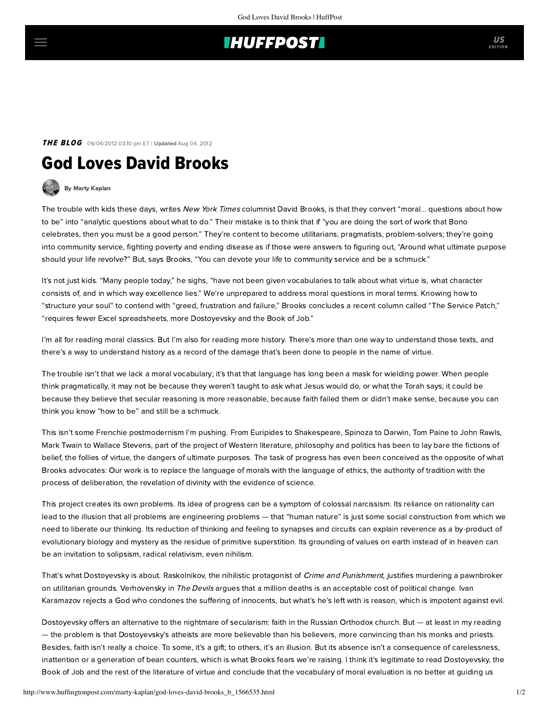## **IHUFFPOSTI**

THE BLOG 06/04/2012 03:10 pm ET | Updated Aug 04, 2012

# God Loves David Brooks

## [By Marty Kaplan](http://www.huffingtonpost.com/author/marty-kaplan)

The trouble with kids these days, [writes](http://www.nytimes.com/2012/05/25/opinion/brooks-the-service-patch.html) New York Times columnist David Brooks, is that they convert "moral... questions about how to be" into "analytic questions about what to do." Their mistake is to think that if "you are doing the sort of work that Bono celebrates, then you must be a good person." They're content to become utilitarians, pragmatists, problem-solvers; they're going into community service, fighting poverty and ending disease as if those were answers to figuring out, "Around what ultimate purpose should your life revolve?" But, says Brooks, "You can devote your life to community service and be a schmuck."

It's not just kids. "Many people today," he sighs, "have not been given vocabularies to talk about what virtue is, what character consists of, and in which way excellence lies." We're unprepared to address moral questions in moral terms. Knowing how to "structure your soul" to contend with "greed, frustration and failure," Brooks concludes a recent column called "The Service Patch," "requires fewer Excel spreadsheets, more Dostoyevsky and the Book of Job."

I'm all for reading moral classics. But I'm also for reading more history. There's more than one way to understand those texts, and there's a way to understand history as a record of the damage that's been done to people in the name of virtue.

The trouble isn't that we lack a moral vocabulary; it's that that language has long been a mask for wielding power. When people think pragmatically, it may not be because they weren't taught to ask what Jesus would do, or what the Torah says; it could be because they believe that secular reasoning is more reasonable, because faith failed them or didn't make sense, because you can think you know "how to be" and still be a schmuck.

This isn't some Frenchie postmodernism I'm pushing. From Euripides to Shakespeare, Spinoza to Darwin, Tom Paine to John Rawls, Mark Twain to Wallace Stevens, part of the project of Western literature, philosophy and politics has been to lay bare the fictions of belief, the follies of virtue, the dangers of ultimate purposes. The task of progress has even been conceived as the opposite of what Brooks advocates: Our work is to replace the language of morals with the language of ethics, the authority of tradition with the process of deliberation, the revelation of divinity with the evidence of science.

This project creates its own problems. Its idea of progress can be a symptom of colossal narcissism. Its reliance on rationality can lead to the illusion that all problems are engineering problems — that "human nature" is just some social construction from which we need to liberate our thinking. Its reduction of thinking and feeling to synapses and circuits can explain reverence as a by-product of evolutionary biology and mystery as the residue of primitive superstition. Its grounding of values on earth instead of in heaven can be an invitation to solipsism, radical relativism, even nihilism.

That's what Dostoyevsky is about. Raskolnikov, the nihilistic protagonist of Crime and Punishment, justifies murdering a pawnbroker on utilitarian grounds. Verhovensky in The Devils argues that a million deaths is an acceptable cost of political change. Ivan Karamazov rejects a God who condones the suffering of innocents, but what's he's left with is reason, which is impotent against evil.

Dostoyevsky offers an alternative to the nightmare of secularism: faith in the Russian Orthodox church. But — at least in my reading — the problem is that Dostoyevsky's atheists are more believable than his believers, more convincing than his monks and priests. Besides, faith isn't really a choice. To some, it's a gift; to others, it's an illusion. But its absence isn't a consequence of carelessness, inattention or a generation of bean counters, which is what Brooks fears we're raising. I think it's legitimate to read Dostoyevsky, the Book of Job and the rest of the literature of virtue and conclude that the vocabulary of moral evaluation is no better at guiding us